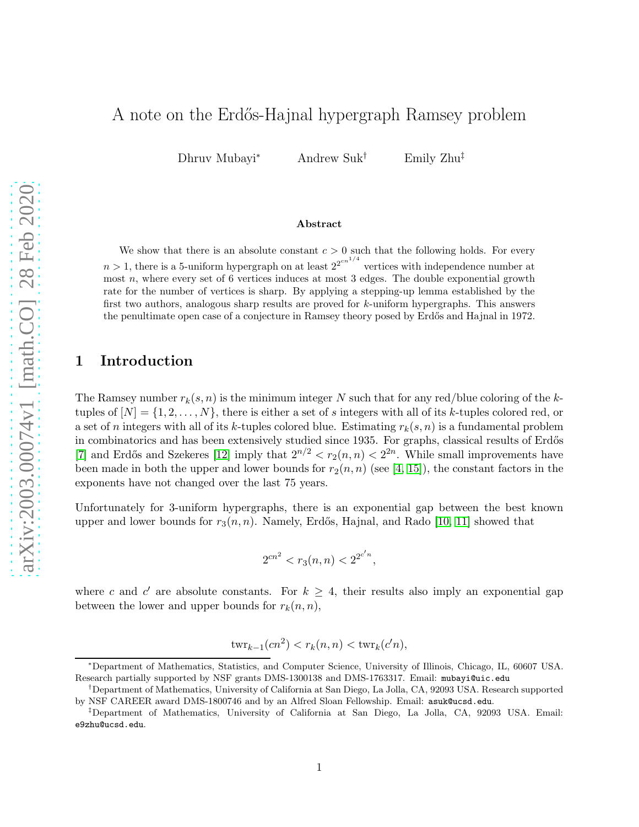# A note on the Erdős-Hajnal hypergraph Ramsey problem

Dhruv Mubayi<sup>∗</sup> Andrew Suk† Emily Zhu‡

#### Abstract

We show that there is an absolute constant  $c > 0$  such that the following holds. For every  $n > 1$ , there is a 5-uniform hypergraph on at least  $2^{2^{cn^{1/4}}}$  vertices with independence number at most n, where every set of 6 vertices induces at most 3 edges. The double exponential growth rate for the number of vertices is sharp. By applying a stepping-up lemma established by the first two authors, analogous sharp results are proved for k-uniform hypergraphs. This answers the penultimate open case of a conjecture in Ramsey theory posed by Erdős and Hajnal in 1972.

## 1 Introduction

The Ramsey number  $r_k(s, n)$  is the minimum integer N such that for any red/blue coloring of the ktuples of  $[N] = \{1, 2, \ldots, N\}$ , there is either a set of s integers with all of its k-tuples colored red, or a set of n integers with all of its k-tuples colored blue. Estimating  $r_k(s, n)$  is a fundamental problem in combinatorics and has been extensively studied since 1935. For graphs, classical results of Erdős [\[7\]](#page-10-0) and Erdős and Szekeres [\[12\]](#page-10-1) imply that  $2^{n/2} < r_2(n,n) < 2^{2n}$ . While small improvements have been made in both the upper and lower bounds for  $r_2(n, n)$  (see [\[4,](#page-10-2) [15\]](#page-11-0)), the constant factors in the exponents have not changed over the last 75 years.

Unfortunately for 3-uniform hypergraphs, there is an exponential gap between the best known upper and lower bounds for  $r_3(n, n)$ . Namely, Erdős, Hajnal, and Rado [\[10,](#page-10-3) [11\]](#page-10-4) showed that

$$
2^{cn^2} < r_3(n, n) < 2^{2^{c'n}},
$$

where c and c' are absolute constants. For  $k \geq 4$ , their results also imply an exponential gap between the lower and upper bounds for  $r_k(n, n)$ ,

$$
twr_{k-1}(cn^2) < r_k(n,n) < twr_k(c'n),
$$

<sup>∗</sup>Department of Mathematics, Statistics, and Computer Science, University of Illinois, Chicago, IL, 60607 USA. Research partially supported by NSF grants DMS-1300138 and DMS-1763317. Email: mubayi@uic.edu

<sup>†</sup>Department of Mathematics, University of California at San Diego, La Jolla, CA, 92093 USA. Research supported by NSF CAREER award DMS-1800746 and by an Alfred Sloan Fellowship. Email: asuk@ucsd.edu.

<sup>‡</sup>Department of Mathematics, University of California at San Diego, La Jolla, CA, 92093 USA. Email: e9zhu@ucsd.edu.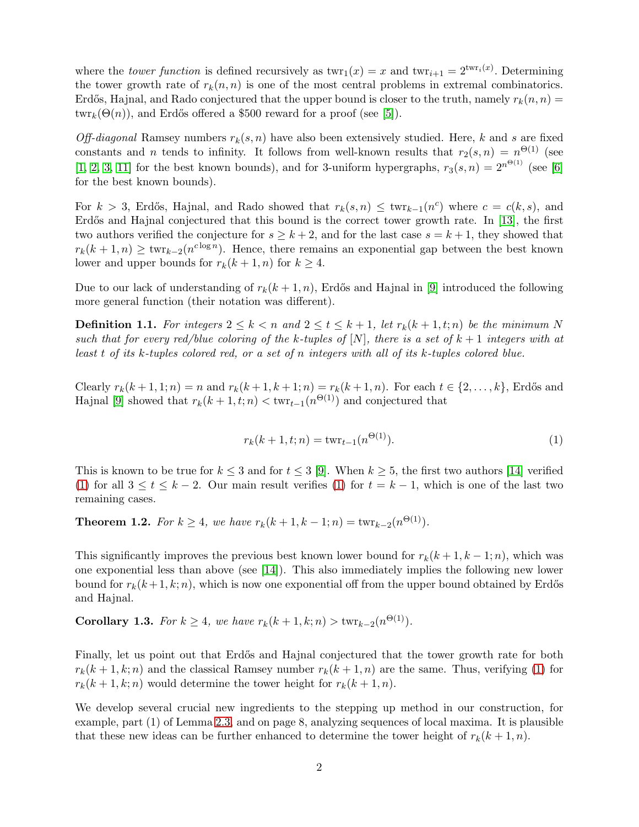where the *tower function* is defined recursively as  $\text{twr}_1(x) = x$  and  $\text{twr}_{i+1} = 2^{\text{twr}_i(x)}$ . Determining the tower growth rate of  $r_k(n, n)$  is one of the most central problems in extremal combinatorics. Erdős, Hajnal, and Rado conjectured that the upper bound is closer to the truth, namely  $r_k(n,n)$  $\text{twr}_k(\Theta(n))$ , and Erdős offered a \$500 reward for a proof (see [\[5\]](#page-10-5)).

Off-diagonal Ramsey numbers  $r_k(s, n)$  have also been extensively studied. Here, k and s are fixed constants and n tends to infinity. It follows from well-known results that  $r_2(s,n) = n^{\Theta(1)}$  (see [\[1,](#page-10-6) [2,](#page-10-7) [3,](#page-10-8) [11\]](#page-10-4) for the best known bounds), and for 3-uniform hypergraphs,  $r_3(s, n) = 2^{n^{\Theta(1)}}$  (see [\[6\]](#page-10-9) for the best known bounds).

For  $k > 3$ , Erdős, Hajnal, and Rado showed that  $r_k(s,n) \leq \text{twr}_{k-1}(n^c)$  where  $c = c(k, s)$ , and Erdős and Hajnal conjectured that this bound is the correct tower growth rate. In [\[13\]](#page-10-10), the first two authors verified the conjecture for  $s \geq k+2$ , and for the last case  $s = k+1$ , they showed that  $r_k(k+1,n) \geq \text{twr}_{k-2}(n^{c \log n})$ . Hence, there remains an exponential gap between the best known lower and upper bounds for  $r_k(k+1, n)$  for  $k \geq 4$ .

Due to our lack of understanding of  $r_k(k+1,n)$ , Erdős and Hajnal in [\[9\]](#page-10-11) introduced the following more general function (their notation was different).

**Definition 1.1.** For integers  $2 \leq k < n$  and  $2 \leq t \leq k+1$ , let  $r_k(k+1,t;n)$  be the minimum N such that for every red/blue coloring of the k-tuples of  $[N]$ , there is a set of  $k+1$  integers with at least t of its k-tuples colored red, or a set of n integers with all of its k-tuples colored blue.

Clearly  $r_k(k + 1, 1; n) = n$  and  $r_k(k + 1, k + 1; n) = r_k(k + 1, n)$ . For each  $t \in \{2, ..., k\}$ , Erdős and Hajnal [\[9\]](#page-10-11) showed that  $r_k(k + 1, t; n) < \text{twr}_{t-1}(n^{\Theta(1)})$  and conjectured that

<span id="page-1-0"></span>
$$
r_k(k+1,t;n) = \text{twr}_{t-1}(n^{\Theta(1)}).
$$
\n(1)

This is known to be true for  $k \leq 3$  and for  $t \leq 3$  [\[9\]](#page-10-11). When  $k \geq 5$ , the first two authors [\[14\]](#page-11-1) verified [\(1\)](#page-1-0) for all  $3 \le t \le k-2$ . Our main result verifies [\(1\)](#page-1-0) for  $t = k-1$ , which is one of the last two remaining cases.

<span id="page-1-1"></span>**Theorem 1.2.** For  $k \ge 4$ , we have  $r_k(k+1, k-1; n) = \text{twr}_{k-2}(n^{\Theta(1)})$ .

This significantly improves the previous best known lower bound for  $r_k(k+1, k-1; n)$ , which was one exponential less than above (see [\[14\]](#page-11-1)). This also immediately implies the following new lower bound for  $r_k(k+1, k; n)$ , which is now one exponential off from the upper bound obtained by Erdős and Hajnal.

**Corollary 1.3.** For  $k \ge 4$ , we have  $r_k(k + 1, k; n) > \text{twr}_{k-2}(n^{\Theta(1)})$ .

Finally, let us point out that Erdős and Hajnal conjectured that the tower growth rate for both  $r_k(k+1,k;n)$  and the classical Ramsey number  $r_k(k+1,n)$  are the same. Thus, verifying [\(1\)](#page-1-0) for  $r_k(k+1,k;n)$  would determine the tower height for  $r_k(k+1,n)$ .

We develop several crucial new ingredients to the stepping up method in our construction, for example, part (1) of Lemma [2.3,](#page-2-0) and on page 8, analyzing sequences of local maxima. It is plausible that these new ideas can be further enhanced to determine the tower height of  $r_k(k+1,n)$ .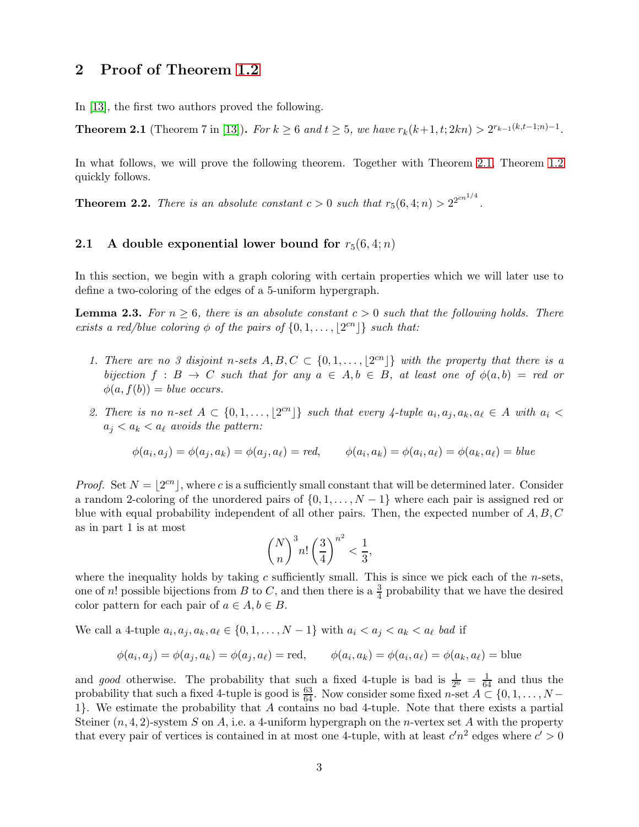### 2 Proof of Theorem [1.2](#page-1-1)

In [\[13\]](#page-10-10), the first two authors proved the following.

<span id="page-2-1"></span>**Theorem 2.1** (Theorem 7 in [\[13\]](#page-10-10)). For  $k \ge 6$  and  $t \ge 5$ , we have  $r_k(k+1, t; 2kn) > 2^{r_{k-1}(k,t-1;n)-1}$ .

In what follows, we will prove the following theorem. Together with Theorem [2.1,](#page-2-1) Theorem [1.2](#page-1-1) quickly follows.

**Theorem 2.2.** There is an absolute constant  $c > 0$  such that  $r_5(6, 4; n) > 2^{2cn^{1/4}}$ .

#### 2.1 A double exponential lower bound for  $r_5(6, 4; n)$

In this section, we begin with a graph coloring with certain properties which we will later use to define a two-coloring of the edges of a 5-uniform hypergraph.

<span id="page-2-0"></span>**Lemma 2.3.** For  $n \geq 6$ , there is an absolute constant  $c > 0$  such that the following holds. There exists a red/blue coloring  $\phi$  of the pairs of  $\{0, 1, \ldots, \lfloor 2^{cn} \rfloor\}$  such that:

- 1. There are no 3 disjoint n-sets  $A, B, C \subset \{0, 1, \ldots, \lfloor 2^{cn} \rfloor\}$  with the property that there is a bijection  $f : B \to C$  such that for any  $a \in A, b \in B$ , at least one of  $\phi(a, b) = red$  or  $\phi(a, f(b)) = blue$  occurs.
- 2. There is no n-set  $A \subset \{0, 1, \ldots, \lfloor 2^{cn} \rfloor\}$  such that every 4-tuple  $a_i, a_j, a_k, a_\ell \in A$  with  $a_i <$  $a_i < a_k < a_\ell$  avoids the pattern:

$$
\phi(a_i, a_j) = \phi(a_j, a_k) = \phi(a_j, a_\ell) = red, \qquad \phi(a_i, a_k) = \phi(a_i, a_\ell) = \phi(a_k, a_\ell) = blue
$$

*Proof.* Set  $N = \lfloor 2^{cn} \rfloor$ , where c is a sufficiently small constant that will be determined later. Consider a random 2-coloring of the unordered pairs of  $\{0, 1, \ldots, N-1\}$  where each pair is assigned red or blue with equal probability independent of all other pairs. Then, the expected number of  $A, B, C$ as in part 1 is at most

$$
\binom{N}{n}^3 n! \left(\frac{3}{4}\right)^{n^2} < \frac{1}{3},
$$

where the inequality holds by taking c sufficiently small. This is since we pick each of the  $n$ -sets, one of n! possible bijections from B to C, and then there is a  $\frac{3}{4}$  probability that we have the desired color pattern for each pair of  $a \in A, b \in B$ .

We call a 4-tuple  $a_i, a_j, a_k, a_\ell \in \{0, 1, \ldots, N-1\}$  with  $a_i < a_j < a_k < a_\ell$  bad if

$$
\phi(a_i, a_j) = \phi(a_j, a_k) = \phi(a_j, a_\ell) = \text{red}, \qquad \phi(a_i, a_k) = \phi(a_i, a_\ell) = \phi(a_k, a_\ell) = \text{blue}
$$

and good otherwise. The probability that such a fixed 4-tuple is bad is  $\frac{1}{2^6} = \frac{1}{64}$  and thus the probability that such a fixed 4-tuple is good is  $\frac{63}{64}$ . Now consider some fixed n-set  $A \subset \{0, 1, \ldots, N -$ 1}. We estimate the probability that A contains no bad 4-tuple. Note that there exists a partial Steiner  $(n, 4, 2)$ -system S on A, i.e. a 4-uniform hypergraph on the *n*-vertex set A with the property that every pair of vertices is contained in at most one 4-tuple, with at least  $c'n^2$  edges where  $c' > 0$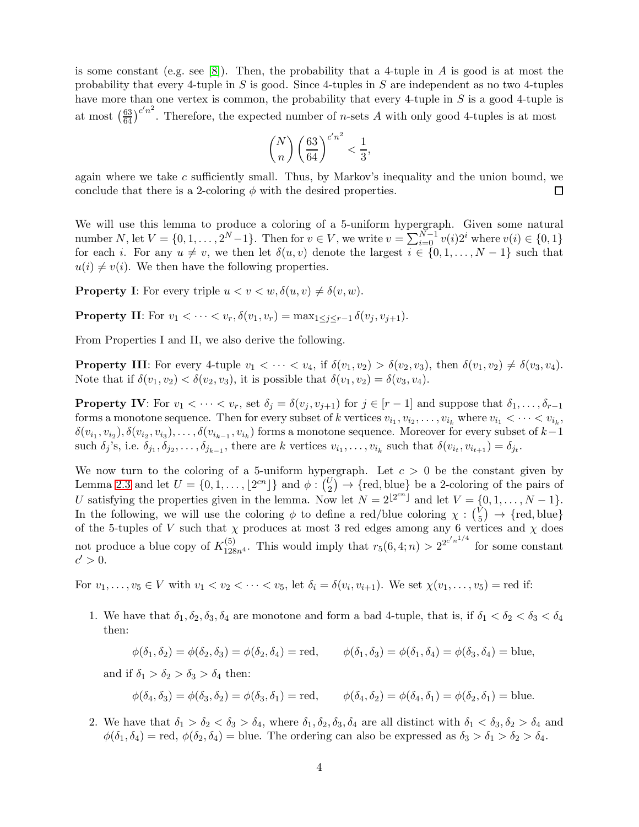is some constant (e.g. see [\[8\]](#page-10-12)). Then, the probability that a 4-tuple in A is good is at most the probability that every 4-tuple in S is good. Since 4-tuples in S are independent as no two 4-tuples have more than one vertex is common, the probability that every 4-tuple in S is a good 4-tuple is at most  $\left(\frac{63}{64}\right)^{c'n^2}$ . Therefore, the expected number of *n*-sets *A* with only good 4-tuples is at most

$$
\binom{N}{n} \left(\frac{63}{64}\right)^{c'n^2} < \frac{1}{3},
$$

again where we take  $c$  sufficiently small. Thus, by Markov's inequality and the union bound, we conclude that there is a 2-coloring  $\phi$  with the desired properties.  $\Box$ 

We will use this lemma to produce a coloring of a 5-uniform hypergraph. Given some natural number N, let  $V = \{0, 1, ..., 2^N-1\}$ . Then for  $v \in V$ , we write  $v = \sum_{i=0}^{N-1} v(i)2^i$  where  $v(i) \in \{0, 1\}$ for each i. For any  $u \neq v$ , we then let  $\delta(u, v)$  denote the largest  $i \in \{0, 1, \ldots, N - 1\}$  such that  $u(i) \neq v(i)$ . We then have the following properties.

**Property I:** For every triple  $u < v < w$ ,  $\delta(u, v) \neq \delta(v, w)$ .

**Property II:** For  $v_1 < \cdots < v_r$ ,  $\delta(v_1, v_r) = \max_{1 \leq i \leq r-1} \delta(v_i, v_{i+1}).$ 

From Properties I and II, we also derive the following.

**Property III:** For every 4-tuple  $v_1 < \cdots < v_4$ , if  $\delta(v_1, v_2) > \delta(v_2, v_3)$ , then  $\delta(v_1, v_2) \neq \delta(v_3, v_4)$ . Note that if  $\delta(v_1, v_2) < \delta(v_2, v_3)$ , it is possible that  $\delta(v_1, v_2) = \delta(v_3, v_4)$ .

**Property IV:** For  $v_1 < \cdots < v_r$ , set  $\delta_j = \delta(v_j, v_{j+1})$  for  $j \in [r-1]$  and suppose that  $\delta_1, \ldots, \delta_{r-1}$ forms a monotone sequence. Then for every subset of k vertices  $v_{i_1}, v_{i_2}, \ldots, v_{i_k}$  where  $v_{i_1} < \cdots < v_{i_k}$ ,  $\delta(v_{i_1}, v_{i_2}), \delta(v_{i_2}, v_{i_3}), \ldots, \delta(v_{i_{k-1}}, v_{i_k})$  forms a monotone sequence. Moreover for every subset of  $k-1$ such  $\delta_j$ 's, i.e.  $\delta_{j_1}, \delta_{j_2}, \ldots, \delta_{j_{k-1}}$ , there are k vertices  $v_{i_1}, \ldots, v_{i_k}$  such that  $\delta(v_{i_t}, v_{i_{t+1}}) = \delta_{j_t}$ .

We now turn to the coloring of a 5-uniform hypergraph. Let  $c > 0$  be the constant given by Lemma [2.3](#page-2-0) and let  $U = \{0, 1, \ldots, \lfloor 2^{cn} \rfloor\}$  and  $\phi : {\binom{U}{2}} \to {\text{red, blue}}$  be a 2-coloring of the pairs of U satisfying the properties given in the lemma. Now let  $N = 2^{\lfloor 2^{cn} \rfloor}$  and let  $V = \{0, 1, ..., N - 1\}$ . In the following, we will use the coloring  $\phi$  to define a red/blue coloring  $\chi : \binom{V}{5}$  $\binom{V}{5}$   $\rightarrow$  {red, blue} of the 5-tuples of V such that  $\chi$  produces at most 3 red edges among any 6 vertices and  $\chi$  does not produce a blue copy of  $K_{128n^4}^{(5)}$ . This would imply that  $r_5(6, 4; n) > 2^{2^{c'n^{1/4}}}$  for some constant  $c' > 0.$ 

For  $v_1, \ldots, v_5 \in V$  with  $v_1 < v_2 < \cdots < v_5$ , let  $\delta_i = \delta(v_i, v_{i+1})$ . We set  $\chi(v_1, \ldots, v_5)$  = red if:

1. We have that  $\delta_1, \delta_2, \delta_3, \delta_4$  are monotone and form a bad 4-tuple, that is, if  $\delta_1 < \delta_2 < \delta_3 < \delta_4$ then:

$$
\phi(\delta_1, \delta_2) = \phi(\delta_2, \delta_3) = \phi(\delta_2, \delta_4) = \text{red}, \qquad \phi(\delta_1, \delta_3) = \phi(\delta_1, \delta_4) = \phi(\delta_3, \delta_4) = \text{blue},
$$

and if  $\delta_1 > \delta_2 > \delta_3 > \delta_4$  then:

$$
\phi(\delta_4, \delta_3) = \phi(\delta_3, \delta_2) = \phi(\delta_3, \delta_1) = \text{red}, \qquad \phi(\delta_4, \delta_2) = \phi(\delta_4, \delta_1) = \phi(\delta_2, \delta_1) = \text{blue}.
$$

2. We have that  $\delta_1 > \delta_2 < \delta_3 > \delta_4$ , where  $\delta_1, \delta_2, \delta_3, \delta_4$  are all distinct with  $\delta_1 < \delta_3, \delta_2 > \delta_4$  and  $\phi(\delta_1, \delta_4) = \text{red}, \phi(\delta_2, \delta_4) = \text{blue}.$  The ordering can also be expressed as  $\delta_3 > \delta_1 > \delta_2 > \delta_4.$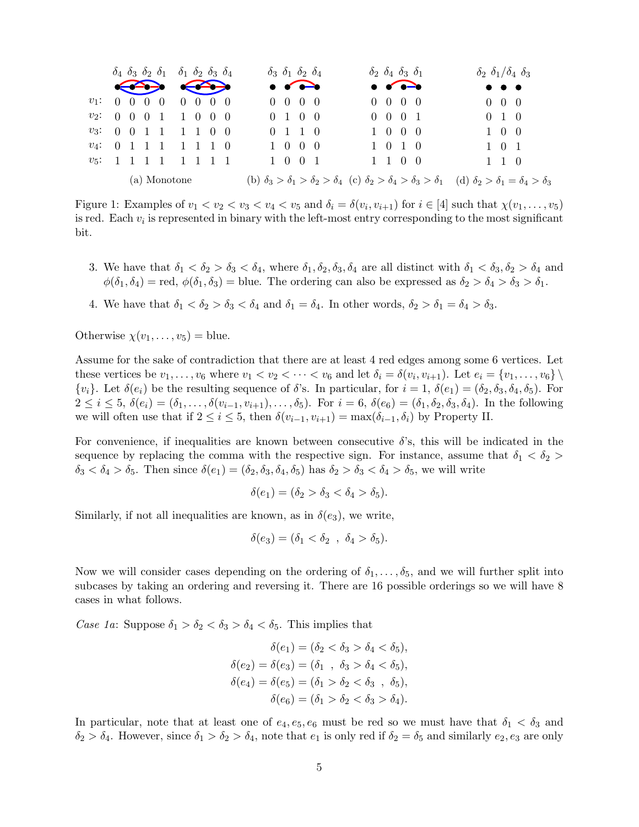

Figure 1: Examples of  $v_1 < v_2 < v_3 < v_4 < v_5$  and  $\delta_i = \delta(v_i, v_{i+1})$  for  $i \in [4]$  such that  $\chi(v_1, \ldots, v_5)$ is red. Each  $v_i$  is represented in binary with the left-most entry corresponding to the most significant bit.

- 3. We have that  $\delta_1 < \delta_2 > \delta_3 < \delta_4$ , where  $\delta_1, \delta_2, \delta_3, \delta_4$  are all distinct with  $\delta_1 < \delta_3, \delta_2 > \delta_4$  and  $\phi(\delta_1, \delta_4)$  = red,  $\phi(\delta_1, \delta_3)$  = blue. The ordering can also be expressed as  $\delta_2 > \delta_4 > \delta_3 > \delta_1$ .
- 4. We have that  $\delta_1 < \delta_2 > \delta_3 < \delta_4$  and  $\delta_1 = \delta_4$ . In other words,  $\delta_2 > \delta_1 = \delta_4 > \delta_3$ .

Otherwise  $\chi(v_1,\ldots,v_5) =$  blue.

Assume for the sake of contradiction that there are at least 4 red edges among some 6 vertices. Let these vertices be  $v_1, \ldots, v_6$  where  $v_1 < v_2 < \cdots < v_6$  and let  $\delta_i = \delta(v_i, v_{i+1})$ . Let  $e_i = \{v_1, \ldots, v_6\} \setminus$  $\{v_i\}$ . Let  $\delta(e_i)$  be the resulting sequence of  $\delta$ 's. In particular, for  $i = 1$ ,  $\delta(e_1) = (\delta_2, \delta_3, \delta_4, \delta_5)$ . For  $2 \le i \le 5$ ,  $\delta(e_i) = (\delta_1, \ldots, \delta(v_{i-1}, v_{i+1}), \ldots, \delta_5)$ . For  $i = 6$ ,  $\delta(e_6) = (\delta_1, \delta_2, \delta_3, \delta_4)$ . In the following we will often use that if  $2 \leq i \leq 5$ , then  $\delta(v_{i-1}, v_{i+1}) = \max(\delta_{i-1}, \delta_i)$  by Property II.

For convenience, if inequalities are known between consecutive  $\delta$ 's, this will be indicated in the sequence by replacing the comma with the respective sign. For instance, assume that  $\delta_1 < \delta_2$  $\delta_3 < \delta_4 > \delta_5$ . Then since  $\delta(e_1) = (\delta_2, \delta_3, \delta_4, \delta_5)$  has  $\delta_2 > \delta_3 < \delta_4 > \delta_5$ , we will write

$$
\delta(e_1) = (\delta_2 > \delta_3 < \delta_4 > \delta_5).
$$

Similarly, if not all inequalities are known, as in  $\delta(e_3)$ , we write,

$$
\delta(e_3)=(\delta_1<\delta_2\;,\;\delta_4>\delta_5).
$$

Now we will consider cases depending on the ordering of  $\delta_1, \ldots, \delta_5$ , and we will further split into subcases by taking an ordering and reversing it. There are 16 possible orderings so we will have 8 cases in what follows.

Case 1a: Suppose  $\delta_1 > \delta_2 < \delta_3 > \delta_4 < \delta_5$ . This implies that

$$
\delta(e_1) = (\delta_2 < \delta_3 > \delta_4 < \delta_5),
$$
\n
$$
\delta(e_2) = \delta(e_3) = (\delta_1 \ , \ \delta_3 > \delta_4 < \delta_5),
$$
\n
$$
\delta(e_4) = \delta(e_5) = (\delta_1 > \delta_2 < \delta_3 \ , \ \delta_5),
$$
\n
$$
\delta(e_6) = (\delta_1 > \delta_2 < \delta_3 > \delta_4).
$$

In particular, note that at least one of  $e_4, e_5, e_6$  must be red so we must have that  $\delta_1 < \delta_3$  and  $\delta_2 > \delta_4$ . However, since  $\delta_1 > \delta_2 > \delta_4$ , note that  $e_1$  is only red if  $\delta_2 = \delta_5$  and similarly  $e_2, e_3$  are only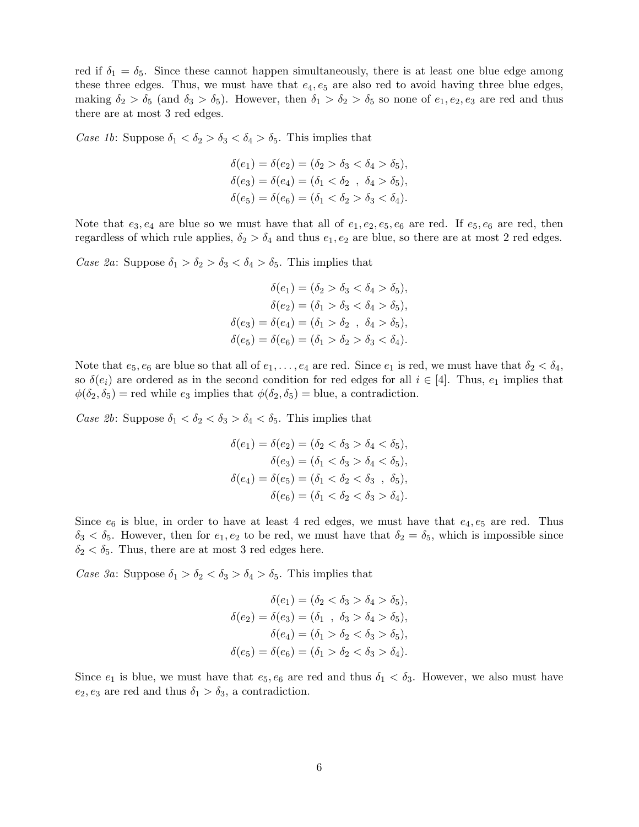red if  $\delta_1 = \delta_5$ . Since these cannot happen simultaneously, there is at least one blue edge among these three edges. Thus, we must have that  $e_4, e_5$  are also red to avoid having three blue edges, making  $\delta_2 > \delta_5$  (and  $\delta_3 > \delta_5$ ). However, then  $\delta_1 > \delta_2 > \delta_5$  so none of  $e_1, e_2, e_3$  are red and thus there are at most 3 red edges.

Case 1b: Suppose  $\delta_1 < \delta_2 > \delta_3 < \delta_4 > \delta_5$ . This implies that

$$
\delta(e_1) = \delta(e_2) = (\delta_2 > \delta_3 < \delta_4 > \delta_5), \n\delta(e_3) = \delta(e_4) = (\delta_1 < \delta_2 , \delta_4 > \delta_5), \n\delta(e_5) = \delta(e_6) = (\delta_1 < \delta_2 > \delta_3 < \delta_4).
$$

Note that  $e_3, e_4$  are blue so we must have that all of  $e_1, e_2, e_5, e_6$  are red. If  $e_5, e_6$  are red, then regardless of which rule applies,  $\delta_2 > \delta_4$  and thus  $e_1, e_2$  are blue, so there are at most 2 red edges.

Case 2a: Suppose  $\delta_1 > \delta_2 > \delta_3 < \delta_4 > \delta_5$ . This implies that

$$
\delta(e_1) = (\delta_2 > \delta_3 < \delta_4 > \delta_5),
$$
  
\n
$$
\delta(e_2) = (\delta_1 > \delta_3 < \delta_4 > \delta_5),
$$
  
\n
$$
\delta(e_3) = \delta(e_4) = (\delta_1 > \delta_2 , \delta_4 > \delta_5),
$$
  
\n
$$
\delta(e_5) = \delta(e_6) = (\delta_1 > \delta_2 > \delta_3 < \delta_4).
$$

Note that  $e_5, e_6$  are blue so that all of  $e_1, \ldots, e_4$  are red. Since  $e_1$  is red, we must have that  $\delta_2 < \delta_4$ , so  $\delta(e_i)$  are ordered as in the second condition for red edges for all  $i \in [4]$ . Thus,  $e_1$  implies that  $\phi(\delta_2, \delta_5)$  = red while  $e_3$  implies that  $\phi(\delta_2, \delta_5)$  = blue, a contradiction.

Case 2b: Suppose  $\delta_1 < \delta_2 < \delta_3 > \delta_4 < \delta_5$ . This implies that

$$
\delta(e_1) = \delta(e_2) = (\delta_2 < \delta_3 > \delta_4 < \delta_5),
$$
  
\n
$$
\delta(e_3) = (\delta_1 < \delta_3 > \delta_4 < \delta_5),
$$
  
\n
$$
\delta(e_4) = \delta(e_5) = (\delta_1 < \delta_2 < \delta_3 , \delta_5),
$$
  
\n
$$
\delta(e_6) = (\delta_1 < \delta_2 < \delta_3 > \delta_4).
$$

Since  $e_6$  is blue, in order to have at least 4 red edges, we must have that  $e_4, e_5$  are red. Thus  $\delta_3 < \delta_5$ . However, then for  $e_1, e_2$  to be red, we must have that  $\delta_2 = \delta_5$ , which is impossible since  $\delta_2 < \delta_5$ . Thus, there are at most 3 red edges here.

Case 3a: Suppose  $\delta_1 > \delta_2 < \delta_3 > \delta_4 > \delta_5$ . This implies that

$$
\delta(e_1) = (\delta_2 < \delta_3 > \delta_4 > \delta_5),
$$
  
\n
$$
\delta(e_2) = \delta(e_3) = (\delta_1 , \delta_3 > \delta_4 > \delta_5),
$$
  
\n
$$
\delta(e_4) = (\delta_1 > \delta_2 < \delta_3 > \delta_5),
$$
  
\n
$$
\delta(e_5) = \delta(e_6) = (\delta_1 > \delta_2 < \delta_3 > \delta_4).
$$

Since  $e_1$  is blue, we must have that  $e_5, e_6$  are red and thus  $\delta_1 < \delta_3$ . However, we also must have  $e_2, e_3$  are red and thus  $\delta_1 > \delta_3$ , a contradiction.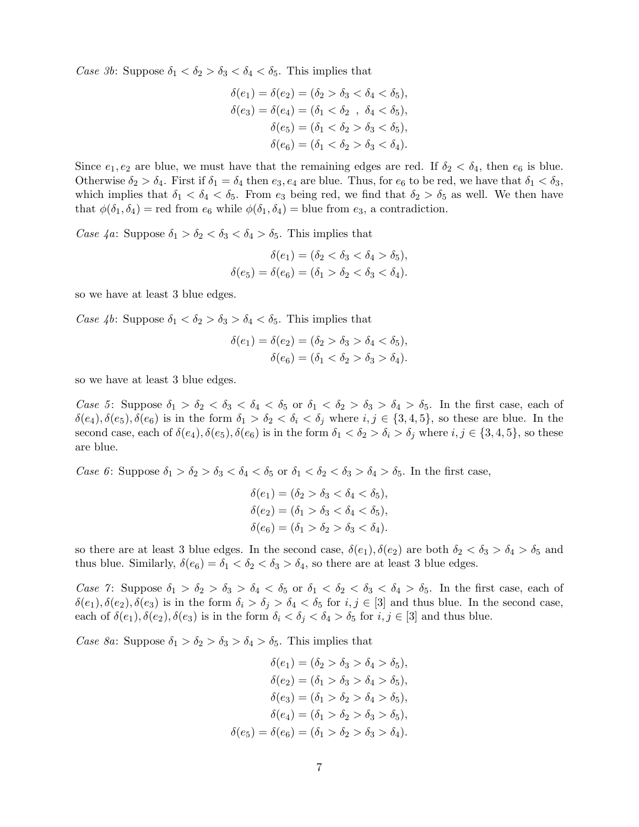Case 3b: Suppose  $\delta_1 < \delta_2 > \delta_3 < \delta_4 < \delta_5$ . This implies that

$$
\delta(e_1) = \delta(e_2) = (\delta_2 > \delta_3 < \delta_4 < \delta_5),
$$
  
\n
$$
\delta(e_3) = \delta(e_4) = (\delta_1 < \delta_2 , \delta_4 < \delta_5),
$$
  
\n
$$
\delta(e_5) = (\delta_1 < \delta_2 > \delta_3 < \delta_5),
$$
  
\n
$$
\delta(e_6) = (\delta_1 < \delta_2 > \delta_3 < \delta_4).
$$

Since  $e_1, e_2$  are blue, we must have that the remaining edges are red. If  $\delta_2 < \delta_4$ , then  $e_6$  is blue. Otherwise  $\delta_2 > \delta_4$ . First if  $\delta_1 = \delta_4$  then  $e_3, e_4$  are blue. Thus, for  $e_6$  to be red, we have that  $\delta_1 < \delta_3$ , which implies that  $\delta_1 < \delta_4 < \delta_5$ . From  $e_3$  being red, we find that  $\delta_2 > \delta_5$  as well. We then have that  $\phi(\delta_1, \delta_4)$  = red from  $e_6$  while  $\phi(\delta_1, \delta_4)$  = blue from  $e_3$ , a contradiction.

Case  $4a$ : Suppose  $\delta_1 > \delta_2 < \delta_3 < \delta_4 > \delta_5$ . This implies that

$$
\delta(e_1) = (\delta_2 < \delta_3 < \delta_4 > \delta_5),
$$
\n
$$
\delta(e_5) = \delta(e_6) = (\delta_1 > \delta_2 < \delta_3 < \delta_4).
$$

so we have at least 3 blue edges.

Case 4b: Suppose  $\delta_1 < \delta_2 > \delta_3 > \delta_4 < \delta_5$ . This implies that

$$
\delta(e_1) = \delta(e_2) = (\delta_2 > \delta_3 > \delta_4 < \delta_5), \n\delta(e_6) = (\delta_1 < \delta_2 > \delta_3 > \delta_4).
$$

so we have at least 3 blue edges.

Case 5: Suppose  $\delta_1 > \delta_2 < \delta_3 < \delta_4 < \delta_5$  or  $\delta_1 < \delta_2 > \delta_3 > \delta_4 > \delta_5$ . In the first case, each of  $\delta(e_4), \delta(e_5), \delta(e_6)$  is in the form  $\delta_1 > \delta_2 < \delta_i < \delta_j$  where  $i, j \in \{3, 4, 5\}$ , so these are blue. In the second case, each of  $\delta(e_4)$ ,  $\delta(e_5)$ ,  $\delta(e_6)$  is in the form  $\delta_1 < \delta_2 > \delta_i > \delta_j$  where  $i, j \in \{3, 4, 5\}$ , so these are blue.

Case 6: Suppose  $\delta_1 > \delta_2 > \delta_3 < \delta_4 < \delta_5$  or  $\delta_1 < \delta_2 < \delta_3 > \delta_4 > \delta_5$ . In the first case,

$$
\delta(e_1) = (\delta_2 > \delta_3 < \delta_4 < \delta_5), \n\delta(e_2) = (\delta_1 > \delta_3 < \delta_4 < \delta_5), \n\delta(e_6) = (\delta_1 > \delta_2 > \delta_3 < \delta_4).
$$

so there are at least 3 blue edges. In the second case,  $\delta(e_1), \delta(e_2)$  are both  $\delta_2 < \delta_3 > \delta_4 > \delta_5$  and thus blue. Similarly,  $\delta(e_6) = \delta_1 < \delta_2 < \delta_3 > \delta_4$ , so there are at least 3 blue edges.

Case 7: Suppose  $\delta_1 > \delta_2 > \delta_3 > \delta_4 < \delta_5$  or  $\delta_1 < \delta_2 < \delta_3 < \delta_4 > \delta_5$ . In the first case, each of  $\delta(e_1), \delta(e_2), \delta(e_3)$  is in the form  $\delta_i > \delta_j > \delta_4 < \delta_5$  for  $i, j \in [3]$  and thus blue. In the second case, each of  $\delta(e_1), \delta(e_2), \delta(e_3)$  is in the form  $\delta_i < \delta_j < \delta_4 > \delta_5$  for  $i, j \in [3]$  and thus blue.

Case 8a: Suppose  $\delta_1 > \delta_2 > \delta_3 > \delta_4 > \delta_5$ . This implies that

$$
\delta(e_1) = (\delta_2 > \delta_3 > \delta_4 > \delta_5),
$$
  
\n
$$
\delta(e_2) = (\delta_1 > \delta_3 > \delta_4 > \delta_5),
$$
  
\n
$$
\delta(e_3) = (\delta_1 > \delta_2 > \delta_4 > \delta_5),
$$
  
\n
$$
\delta(e_4) = (\delta_1 > \delta_2 > \delta_3 > \delta_5),
$$
  
\n
$$
\delta(e_5) = \delta(e_6) = (\delta_1 > \delta_2 > \delta_3 > \delta_4).
$$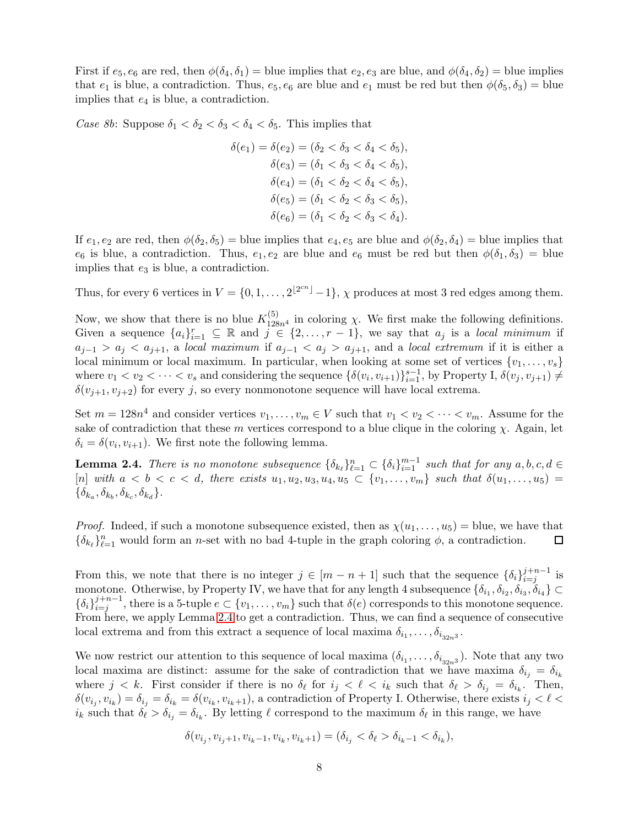First if  $e_5, e_6$  are red, then  $\phi(\delta_4, \delta_1)$  = blue implies that  $e_2, e_3$  are blue, and  $\phi(\delta_4, \delta_2)$  = blue implies that  $e_1$  is blue, a contradiction. Thus,  $e_5, e_6$  are blue and  $e_1$  must be red but then  $\phi(\delta_5, \delta_3)$  = blue implies that  $e_4$  is blue, a contradiction.

Case 8b: Suppose  $\delta_1 < \delta_2 < \delta_3 < \delta_4 < \delta_5$ . This implies that

$$
\delta(e_1) = \delta(e_2) = (\delta_2 < \delta_3 < \delta_4 < \delta_5),
$$
\n
$$
\delta(e_3) = (\delta_1 < \delta_3 < \delta_4 < \delta_5),
$$
\n
$$
\delta(e_4) = (\delta_1 < \delta_2 < \delta_4 < \delta_5),
$$
\n
$$
\delta(e_5) = (\delta_1 < \delta_2 < \delta_3 < \delta_5),
$$
\n
$$
\delta(e_6) = (\delta_1 < \delta_2 < \delta_3 < \delta_4).
$$

If  $e_1, e_2$  are red, then  $\phi(\delta_2, \delta_5)$  = blue implies that  $e_4, e_5$  are blue and  $\phi(\delta_2, \delta_4)$  = blue implies that  $e_6$  is blue, a contradiction. Thus,  $e_1, e_2$  are blue and  $e_6$  must be red but then  $\phi(\delta_1, \delta_3)$  = blue implies that  $e_3$  is blue, a contradiction.

Thus, for every 6 vertices in  $V = \{0, 1, ..., 2^{\lfloor 2^{cn} \rfloor} - 1\}$ ,  $\chi$  produces at most 3 red edges among them.

Now, we show that there is no blue  $K_{128n^4}^{(5)}$  in coloring  $\chi$ . We first make the following definitions. Given a sequence  $\{a_i\}_{i=1}^r \subseteq \mathbb{R}$  and  $j \in \{2,\ldots,r-1\}$ , we say that  $a_j$  is a local minimum if  $a_{j-1} > a_j < a_{j+1}$ , a local maximum if  $a_{j-1} < a_j > a_{j+1}$ , and a local extremum if it is either a local minimum or local maximum. In particular, when looking at some set of vertices  $\{v_1, \ldots, v_s\}$ where  $v_1 < v_2 < \cdots < v_s$  and considering the sequence  $\{\delta(v_i, v_{i+1})\}_{i=1}^{s-1}$ , by Property I,  $\delta(v_j, v_{j+1}) \neq$  $\delta(v_{i+1}, v_{i+2})$  for every j, so every nonmonotone sequence will have local extrema.

Set  $m = 128n^4$  and consider vertices  $v_1, \ldots, v_m \in V$  such that  $v_1 < v_2 < \cdots < v_m$ . Assume for the sake of contradiction that these m vertices correspond to a blue clique in the coloring  $\chi$ . Again, let  $\delta_i = \delta(v_i, v_{i+1})$ . We first note the following lemma.

<span id="page-7-0"></span>**Lemma 2.4.** There is no monotone subsequence  $\{\delta_{k_\ell}\}_{\ell=1}^n \subset \{\delta_i\}_{i=1}^{m-1}$  such that for any  $a, b, c, d \in$ [n] with  $a < b < c < d$ , there exists  $u_1, u_2, u_3, u_4, u_5 \subset \{v_1, \ldots, v_m\}$  such that  $\delta(u_1, \ldots, u_5) =$  $\{\delta_{k_a}, \delta_{k_b}, \delta_{k_c}, \delta_{k_d}\}.$ 

*Proof.* Indeed, if such a monotone subsequence existed, then as  $\chi(u_1, \ldots, u_5) =$  blue, we have that  ${\delta_{k_\ell}}_{\ell=1}^n$  would form an *n*-set with no bad 4-tuple in the graph coloring  $\phi$ , a contradiction. □

From this, we note that there is no integer  $j \in [m-n+1]$  such that the sequence  $\{\delta_i\}_{i=i}^{j+n-1}$  $i=j$  is monotone. Otherwise, by Property IV, we have that for any length 4 subsequence  $\{\delta_{i_1}, \delta_{i_2}, \delta_{i_3}, \delta_{i_4}\} \subset$  $\{\delta_i\}_{i=1}^{j+n-1}$  $i=j}^{j+n-1}$ , there is a 5-tuple  $e \subset \{v_1, \ldots, v_m\}$  such that  $\delta(e)$  corresponds to this monotone sequence. From here, we apply Lemma [2.4](#page-7-0) to get a contradiction. Thus, we can find a sequence of consecutive local extrema and from this extract a sequence of local maxima  $\delta_{i_1}, \ldots, \delta_{i_{32n^3}}$ .

We now restrict our attention to this sequence of local maxima  $(\delta_{i_1}, \ldots, \delta_{i_{32n^3}})$ . Note that any two local maxima are distinct: assume for the sake of contradiction that we have maxima  $\delta_{i_j} = \delta_{i_k}$ where  $j < k$ . First consider if there is no  $\delta_{\ell}$  for  $i_j < \ell < i_k$  such that  $\delta_{\ell} > \delta_{i_j} = \delta_{i_k}$ . Then,  $\delta(v_{i_j}, v_{i_k}) = \delta_{i_j} = \delta_{i_k} = \delta(v_{i_k}, v_{i_k+1})$ , a contradiction of Property I. Otherwise, there exists  $i_j < \ell <$  $i_k$  such that  $\delta_\ell > \delta_{i_j} = \delta_{i_k}$ . By letting  $\ell$  correspond to the maximum  $\delta_\ell$  in this range, we have

$$
\delta(v_{i_j}, v_{i_j+1}, v_{i_k-1}, v_{i_k}, v_{i_k+1}) = (\delta_{i_j} < \delta_\ell > \delta_{i_k-1} < \delta_{i_k}),
$$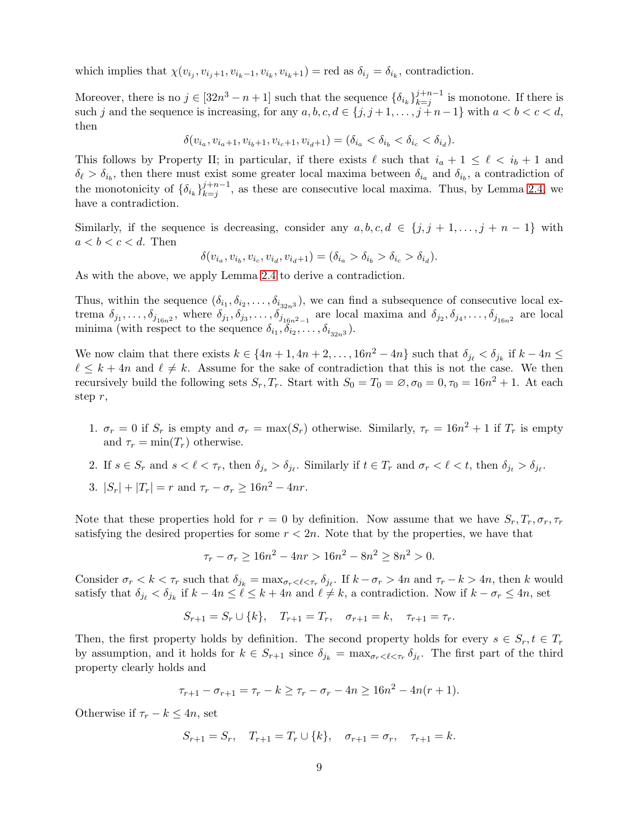which implies that  $\chi(v_{i_j}, v_{i_j+1}, v_{i_k-1}, v_{i_k}, v_{i_k+1}) = \text{red as } \delta_{i_j} = \delta_{i_k}$ , contradiction.

Moreover, there is no  $j \in [32n^3 - n + 1]$  such that the sequence  $\{\delta_{i_k}\}_{k=1}^{j+n-1}$  $\sum_{k=j}^{j+n-1}$  is monotone. If there is such j and the sequence is increasing, for any  $a, b, c, d \in \{j, j+1, \ldots, j+n-1\}$  with  $a < b < c < d$ , then

$$
\delta(v_{i_a}, v_{i_a+1}, v_{i_b+1}, v_{i_c+1}, v_{i_d+1}) = (\delta_{i_a} < \delta_{i_b} < \delta_{i_c} < \delta_{i_d}).
$$

This follows by Property II; in particular, if there exists  $\ell$  such that  $i_a + 1 \leq \ell \leq i_b + 1$  and  $\delta_{\ell} > \delta_{i_b}$ , then there must exist some greater local maxima between  $\delta_{i_a}$  and  $\delta_{i_b}$ , a contradiction of the monotonicity of  $\{\delta_{i_k}\}_{k=j}^{j+n-1}$  $k=j^{n-1}$ , as these are consecutive local maxima. Thus, by Lemma [2.4,](#page-7-0) we have a contradiction.

Similarly, if the sequence is decreasing, consider any  $a, b, c, d \in \{j, j + 1, \ldots, j + n - 1\}$  with  $a < b < c < d$ . Then

$$
\delta(v_{i_a}, v_{i_b}, v_{i_c}, v_{i_d}, v_{i_d+1}) = (\delta_{i_a} > \delta_{i_b} > \delta_{i_c} > \delta_{i_d}).
$$

As with the above, we apply Lemma [2.4](#page-7-0) to derive a contradiction.

Thus, within the sequence  $(\delta_{i_1}, \delta_{i_2}, \ldots, \delta_{i_{32n^3}})$ , we can find a subsequence of consecutive local extrema  $\delta_{j_1},\ldots,\delta_{j_{16n^2}}$ , where  $\delta_{j_1},\delta_{j_3},\ldots,\delta_{j_{16n^2-1}}$  are local maxima and  $\delta_{j_2},\delta_{j_4},\ldots,\delta_{j_{16n^2}}$  are local minima (with respect to the sequence  $\delta_{i_1}, \delta_{i_2}, \ldots, \delta_{i_{32n^3}}$ ).

We now claim that there exists  $k \in \{4n+1, 4n+2, \ldots, 16n^2 - 4n\}$  such that  $\delta_{j_\ell} < \delta_{j_k}$  if  $k - 4n \leq$  $\ell \leq k+4n$  and  $\ell \neq k$ . Assume for the sake of contradiction that this is not the case. We then recursively build the following sets  $S_r, T_r$ . Start with  $S_0 = T_0 = \emptyset, \sigma_0 = 0, \tau_0 = 16n^2 + 1$ . At each step r,

- 1.  $\sigma_r = 0$  if  $S_r$  is empty and  $\sigma_r = \max(S_r)$  otherwise. Similarly,  $\tau_r = 16n^2 + 1$  if  $T_r$  is empty and  $\tau_r = \min(T_r)$  otherwise.
- 2. If  $s \in S_r$  and  $s < \ell < \tau_r$ , then  $\delta_{j_s} > \delta_{j_\ell}$ . Similarly if  $t \in T_r$  and  $\sigma_r < \ell < t$ , then  $\delta_{j_t} > \delta_{j_\ell}$ .
- 3.  $|S_r| + |T_r| = r$  and  $\tau_r \sigma_r \ge 16n^2 4nr$ .

Note that these properties hold for  $r = 0$  by definition. Now assume that we have  $S_r, T_r, \sigma_r, \tau_r$ satisfying the desired properties for some  $r < 2n$ . Note that by the properties, we have that

$$
\tau_r - \sigma_r \ge 16n^2 - 4nr > 16n^2 - 8n^2 \ge 8n^2 > 0.
$$

Consider  $\sigma_r < k < \tau_r$  such that  $\delta_{j_k} = \max_{\sigma_r < \ell \leq \tau_r} \delta_{j_\ell}$ . If  $k - \sigma_r > 4n$  and  $\tau_r - k > 4n$ , then k would satisfy that  $\delta_{j_\ell} < \delta_{j_k}$  if  $k - 4n \leq \ell \leq k + 4n$  and  $\ell \neq k$ , a contradiction. Now if  $k - \sigma_r \leq 4n$ , set

$$
S_{r+1} = S_r \cup \{k\}, \quad T_{r+1} = T_r, \quad \sigma_{r+1} = k, \quad \tau_{r+1} = \tau_r.
$$

Then, the first property holds by definition. The second property holds for every  $s \in S_r, t \in T_r$ by assumption, and it holds for  $k \in S_{r+1}$  since  $\delta_{j_k} = \max_{\sigma_r < \ell < \tau_r} \delta_{j_\ell}$ . The first part of the third property clearly holds and

$$
\tau_{r+1} - \sigma_{r+1} = \tau_r - k \ge \tau_r - \sigma_r - 4n \ge 16n^2 - 4n(r+1).
$$

Otherwise if  $\tau_r - k \leq 4n$ , set

$$
S_{r+1} = S_r, \quad T_{r+1} = T_r \cup \{k\}, \quad \sigma_{r+1} = \sigma_r, \quad \tau_{r+1} = k.
$$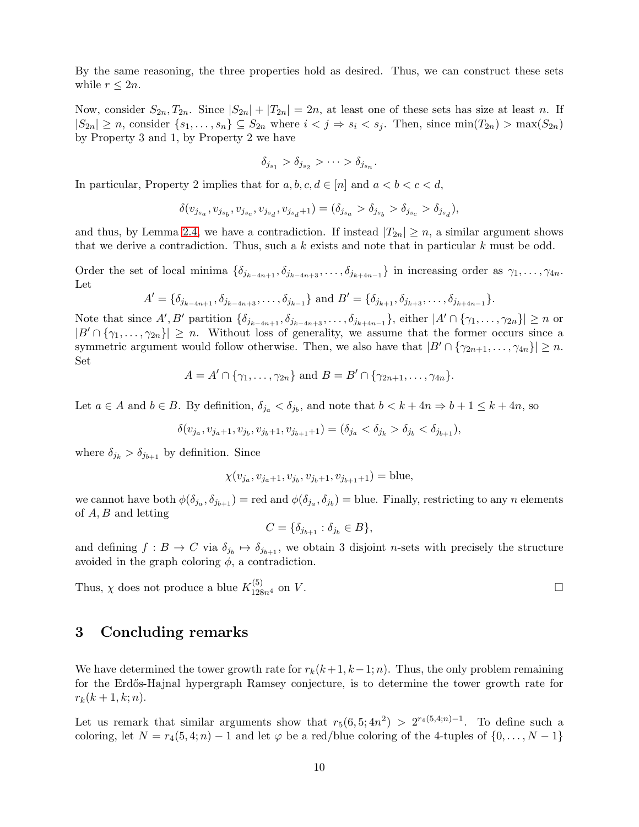By the same reasoning, the three properties hold as desired. Thus, we can construct these sets while  $r \leq 2n$ .

Now, consider  $S_{2n}, T_{2n}$ . Since  $|S_{2n}| + |T_{2n}| = 2n$ , at least one of these sets has size at least n. If  $|S_{2n}| \ge n$ , consider  $\{s_1, \ldots, s_n\} \subseteq S_{2n}$  where  $i < j \Rightarrow s_i < s_j$ . Then, since  $\min(T_{2n}) > \max(S_{2n})$ by Property 3 and 1, by Property 2 we have

$$
\delta_{j_{s_1}} > \delta_{j_{s_2}} > \cdots > \delta_{j_{s_n}}.
$$

In particular, Property 2 implies that for  $a, b, c, d \in [n]$  and  $a < b < c < d$ ,

$$
\delta(v_{j_{s_a}}, v_{j_{s_b}}, v_{j_{s_c}}, v_{j_{s_d}}, v_{j_{s_d}+1}) = (\delta_{j_{s_a}} > \delta_{j_{s_b}} > \delta_{j_{s_c}} > \delta_{j_{s_d}}),
$$

and thus, by Lemma [2.4,](#page-7-0) we have a contradiction. If instead  $|T_{2n}| \geq n$ , a similar argument shows that we derive a contradiction. Thus, such a  $k$  exists and note that in particular  $k$  must be odd.

Order the set of local minima  $\{\delta_{j_{k-4n+1}}, \delta_{j_{k-4n+3}}, \ldots, \delta_{j_{k+4n-1}}\}$  in increasing order as  $\gamma_1, \ldots, \gamma_{4n}$ . Let

$$
A' = \{\delta_{j_{k-4n+1}}, \delta_{j_{k-4n+3}}, \ldots, \delta_{j_{k-1}}\} \text{ and } B' = \{\delta_{j_{k+1}}, \delta_{j_{k+3}}, \ldots, \delta_{j_{k+4n-1}}\}.
$$

Note that since  $A', B'$  partition  $\{\delta_{j_{k-4n+1}}, \delta_{j_{k-4n+3}}, \ldots, \delta_{j_{k+4n-1}}\}$ , either  $|A' \cap \{\gamma_1, \ldots, \gamma_{2n}\}| \geq n$  or  $|B' \cap \{\gamma_1, \ldots, \gamma_{2n}\}| \geq n$ . Without loss of generality, we assume that the former occurs since a symmetric argument would follow otherwise. Then, we also have that  $|B' \cap {\gamma_{2n+1}, \ldots, \gamma_{4n}}| \geq n$ . Set

$$
A = A' \cap \{ \gamma_1, \ldots, \gamma_{2n} \} \text{ and } B = B' \cap \{ \gamma_{2n+1}, \ldots, \gamma_{4n} \}.
$$

Let  $a \in A$  and  $b \in B$ . By definition,  $\delta_{j_a} < \delta_{j_b}$ , and note that  $b < k + 4n \Rightarrow b + 1 \leq k + 4n$ , so

$$
\delta(v_{j_a}, v_{j_a+1}, v_{j_b}, v_{j_b+1}, v_{j_{b+1}+1}) = (\delta_{j_a} < \delta_{j_b} > \delta_{j_b} < \delta_{j_{b+1}}),
$$

where  $\delta_{j_k} > \delta_{j_{k+1}}$  by definition. Since

$$
\chi(v_{j_a}, v_{j_a+1}, v_{j_b}, v_{j_b+1}, v_{j_{b+1}+1}) = \text{blue},
$$

we cannot have both  $\phi(\delta_{j_a}, \delta_{j_{b+1}}) = \text{red}$  and  $\phi(\delta_{j_a}, \delta_{j_b}) = \text{blue}$ . Finally, restricting to any n elements of A, B and letting

$$
C = \{ \delta_{j_{b+1}} : \delta_{j_b} \in B \},\
$$

and defining  $f: B \to C$  via  $\delta_{j_b} \mapsto \delta_{j_{b+1}}$ , we obtain 3 disjoint *n*-sets with precisely the structure avoided in the graph coloring  $\phi$ , a contradiction.

Thus,  $\chi$  does not produce a blue  $K_{128n^4}^{(5)}$  on V.

### 3 Concluding remarks

We have determined the tower growth rate for  $r_k(k+1, k-1; n)$ . Thus, the only problem remaining for the Erd˝os-Hajnal hypergraph Ramsey conjecture, is to determine the tower growth rate for  $r_k(k + 1, k; n).$ 

Let us remark that similar arguments show that  $r_5(6, 5; 4n^2) > 2^{r_4(5, 4; n)}$ . To define such a coloring, let  $N = r_4(5, 4; n) - 1$  and let  $\varphi$  be a red/blue coloring of the 4-tuples of  $\{0, \ldots, N-1\}$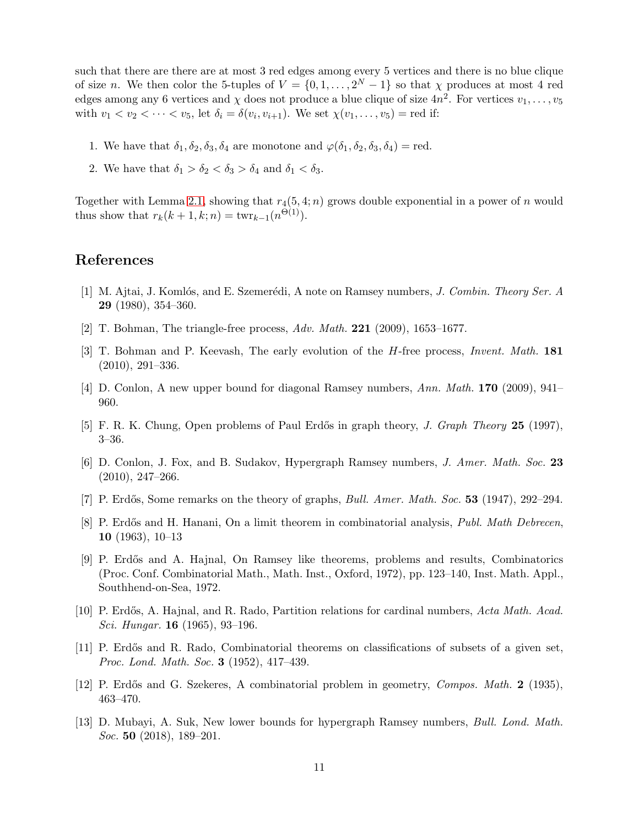such that there are there are at most 3 red edges among every 5 vertices and there is no blue clique of size n. We then color the 5-tuples of  $V = \{0, 1, \ldots, 2^N - 1\}$  so that  $\chi$  produces at most 4 red edges among any 6 vertices and  $\chi$  does not produce a blue clique of size  $4n^2$ . For vertices  $v_1, \ldots, v_5$ with  $v_1 < v_2 < \cdots < v_5$ , let  $\delta_i = \delta(v_i, v_{i+1})$ . We set  $\chi(v_1, \ldots, v_5)$  = red if:

- 1. We have that  $\delta_1, \delta_2, \delta_3, \delta_4$  are monotone and  $\varphi(\delta_1, \delta_2, \delta_3, \delta_4)$  = red.
- 2. We have that  $\delta_1 > \delta_2 < \delta_3 > \delta_4$  and  $\delta_1 < \delta_3$ .

Together with Lemma [2.1,](#page-2-1) showing that  $r_4(5, 4; n)$  grows double exponential in a power of n would thus show that  $r_k(k + 1, k; n) = \text{twr}_{k-1}(n^{\Theta(1)})$ .

#### <span id="page-10-6"></span>References

- <span id="page-10-7"></span>[1] M. Ajtai, J. Komlós, and E. Szemerédi, A note on Ramsey numbers, J. Combin. Theory Ser. A 29 (1980), 354–360.
- <span id="page-10-8"></span>[2] T. Bohman, The triangle-free process,  $Adv. Math. 221 (2009), 1653-1677.$
- [3] T. Bohman and P. Keevash, The early evolution of the *H*-free process, *Invent. Math.* 181 (2010), 291–336.
- <span id="page-10-5"></span><span id="page-10-2"></span>[4] D. Conlon, A new upper bound for diagonal Ramsey numbers, Ann. Math. 170 (2009), 941– 960.
- <span id="page-10-9"></span>[5] F. R. K. Chung, Open problems of Paul Erdős in graph theory, J. Graph Theory 25 (1997), 3–36.
- <span id="page-10-0"></span>[6] D. Conlon, J. Fox, and B. Sudakov, Hypergraph Ramsey numbers, J. Amer. Math. Soc. 23 (2010), 247–266.
- <span id="page-10-12"></span>[7] P. Erdős, Some remarks on the theory of graphs, *Bull. Amer. Math. Soc.* **53** (1947), 292–294.
- <span id="page-10-11"></span>[8] P. Erdős and H. Hanani, On a limit theorem in combinatorial analysis, *Publ. Math Debrecen*, 10 (1963), 10–13
- [9] P. Erd˝os and A. Hajnal, On Ramsey like theorems, problems and results, Combinatorics (Proc. Conf. Combinatorial Math., Math. Inst., Oxford, 1972), pp. 123–140, Inst. Math. Appl., Southhend-on-Sea, 1972.
- <span id="page-10-4"></span><span id="page-10-3"></span>[10] P. Erdős, A. Hajnal, and R. Rado, Partition relations for cardinal numbers, Acta Math. Acad. Sci. Hungar. 16 (1965), 93–196.
- [11] P. Erdős and R. Rado, Combinatorial theorems on classifications of subsets of a given set, Proc. Lond. Math. Soc. 3 (1952), 417–439.
- <span id="page-10-10"></span><span id="page-10-1"></span>[12] P. Erdős and G. Szekeres, A combinatorial problem in geometry, *Compos. Math.* 2 (1935), 463–470.
- [13] D. Mubayi, A. Suk, New lower bounds for hypergraph Ramsey numbers, Bull. Lond. Math. *Soc.* 50 (2018), 189–201.